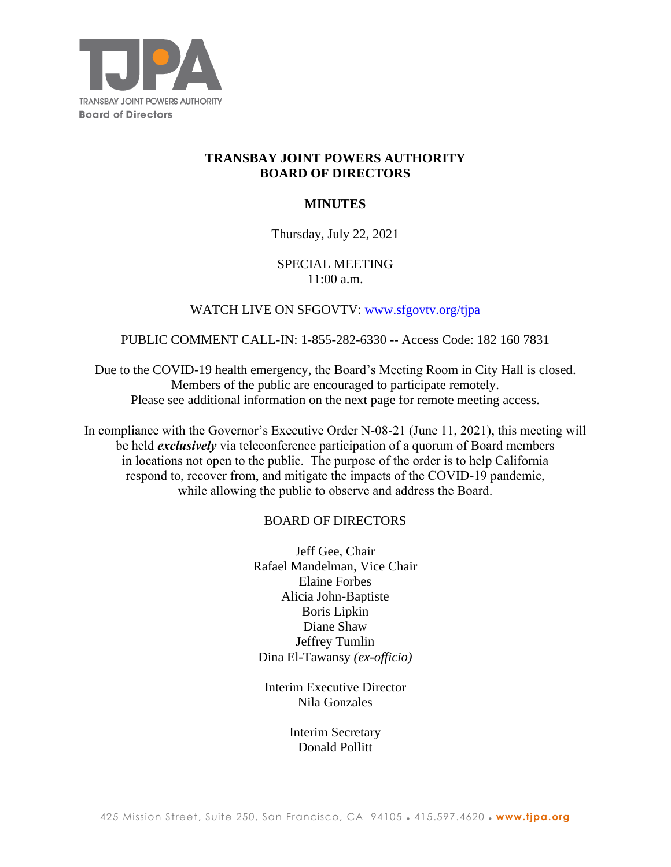

# **TRANSBAY JOINT POWERS AUTHORITY BOARD OF DIRECTORS**

# **MINUTES**

## Thursday, July 22, 2021

# SPECIAL MEETING 11:00 a.m.

# WATCH LIVE ON SFGOVTV: www.sfgovtv.org/tipa

### PUBLIC COMMENT CALL-IN: 1-855-282-6330 **--** Access Code: 182 160 7831

Due to the COVID-19 health emergency, the Board's Meeting Room in City Hall is closed. Members of the public are encouraged to participate remotely. Please see additional information on the next page for remote meeting access.

In compliance with the Governor's Executive Order N-08-21 (June 11, 2021), this meeting will be held *exclusively* via teleconference participation of a quorum of Board members in locations not open to the public. The purpose of the order is to help California respond to, recover from, and mitigate the impacts of the COVID-19 pandemic, while allowing the public to observe and address the Board.

## BOARD OF DIRECTORS

Jeff Gee, Chair Rafael Mandelman, Vice Chair Elaine Forbes Alicia John-Baptiste Boris Lipkin Diane Shaw Jeffrey Tumlin Dina El-Tawansy *(ex-officio)*

Interim Executive Director Nila Gonzales

> Interim Secretary Donald Pollitt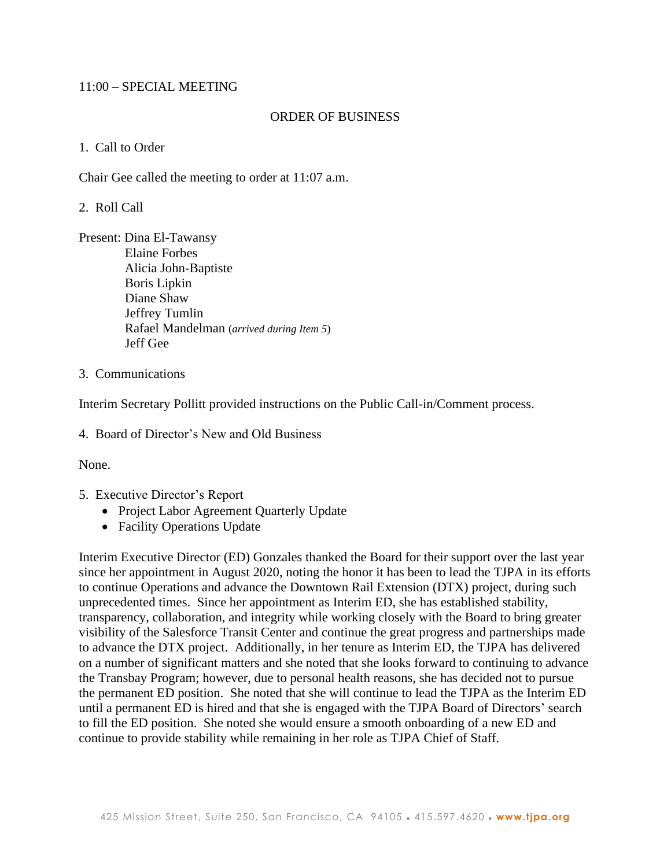## 11:00 – SPECIAL MEETING

### ORDER OF BUSINESS

### 1. Call to Order

Chair Gee called the meeting to order at 11:07 a.m.

### 2. Roll Call

Present: Dina El-Tawansy Elaine Forbes Alicia John-Baptiste Boris Lipkin Diane Shaw Jeffrey Tumlin Rafael Mandelman (*arrived during Item 5*) Jeff Gee

#### 3. Communications

Interim Secretary Pollitt provided instructions on the Public Call-in/Comment process.

4. Board of Director's New and Old Business

None.

- 5. Executive Director's Report
	- Project Labor Agreement Quarterly Update
	- Facility Operations Update

Interim Executive Director (ED) Gonzales thanked the Board for their support over the last year since her appointment in August 2020, noting the honor it has been to lead the TJPA in its efforts to continue Operations and advance the Downtown Rail Extension (DTX) project, during such unprecedented times. Since her appointment as Interim ED, she has established stability, transparency, collaboration, and integrity while working closely with the Board to bring greater visibility of the Salesforce Transit Center and continue the great progress and partnerships made to advance the DTX project. Additionally, in her tenure as Interim ED, the TJPA has delivered on a number of significant matters and she noted that she looks forward to continuing to advance the Transbay Program; however, due to personal health reasons, she has decided not to pursue the permanent ED position. She noted that she will continue to lead the TJPA as the Interim ED until a permanent ED is hired and that she is engaged with the TJPA Board of Directors' search to fill the ED position. She noted she would ensure a smooth onboarding of a new ED and continue to provide stability while remaining in her role as TJPA Chief of Staff.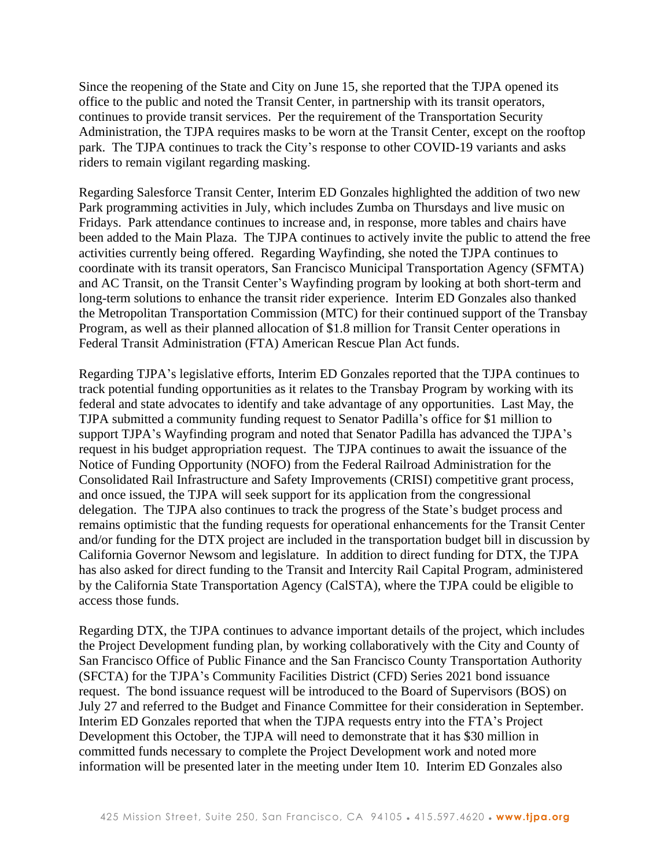Since the reopening of the State and City on June 15, she reported that the TJPA opened its office to the public and noted the Transit Center, in partnership with its transit operators, continues to provide transit services. Per the requirement of the Transportation Security Administration, the TJPA requires masks to be worn at the Transit Center, except on the rooftop park. The TJPA continues to track the City's response to other COVID-19 variants and asks riders to remain vigilant regarding masking.

Regarding Salesforce Transit Center, Interim ED Gonzales highlighted the addition of two new Park programming activities in July, which includes Zumba on Thursdays and live music on Fridays. Park attendance continues to increase and, in response, more tables and chairs have been added to the Main Plaza. The TJPA continues to actively invite the public to attend the free activities currently being offered. Regarding Wayfinding, she noted the TJPA continues to coordinate with its transit operators, San Francisco Municipal Transportation Agency (SFMTA) and AC Transit, on the Transit Center's Wayfinding program by looking at both short-term and long-term solutions to enhance the transit rider experience. Interim ED Gonzales also thanked the Metropolitan Transportation Commission (MTC) for their continued support of the Transbay Program, as well as their planned allocation of \$1.8 million for Transit Center operations in Federal Transit Administration (FTA) American Rescue Plan Act funds.

Regarding TJPA's legislative efforts, Interim ED Gonzales reported that the TJPA continues to track potential funding opportunities as it relates to the Transbay Program by working with its federal and state advocates to identify and take advantage of any opportunities. Last May, the TJPA submitted a community funding request to Senator Padilla's office for \$1 million to support TJPA's Wayfinding program and noted that Senator Padilla has advanced the TJPA's request in his budget appropriation request. The TJPA continues to await the issuance of the Notice of Funding Opportunity (NOFO) from the Federal Railroad Administration for the Consolidated Rail Infrastructure and Safety Improvements (CRISI) competitive grant process, and once issued, the TJPA will seek support for its application from the congressional delegation. The TJPA also continues to track the progress of the State's budget process and remains optimistic that the funding requests for operational enhancements for the Transit Center and/or funding for the DTX project are included in the transportation budget bill in discussion by California Governor Newsom and legislature. In addition to direct funding for DTX, the TJPA has also asked for direct funding to the Transit and Intercity Rail Capital Program, administered by the California State Transportation Agency (CalSTA), where the TJPA could be eligible to access those funds.

Regarding DTX, the TJPA continues to advance important details of the project, which includes the Project Development funding plan, by working collaboratively with the City and County of San Francisco Office of Public Finance and the San Francisco County Transportation Authority (SFCTA) for the TJPA's Community Facilities District (CFD) Series 2021 bond issuance request. The bond issuance request will be introduced to the Board of Supervisors (BOS) on July 27 and referred to the Budget and Finance Committee for their consideration in September. Interim ED Gonzales reported that when the TJPA requests entry into the FTA's Project Development this October, the TJPA will need to demonstrate that it has \$30 million in committed funds necessary to complete the Project Development work and noted more information will be presented later in the meeting under Item 10. Interim ED Gonzales also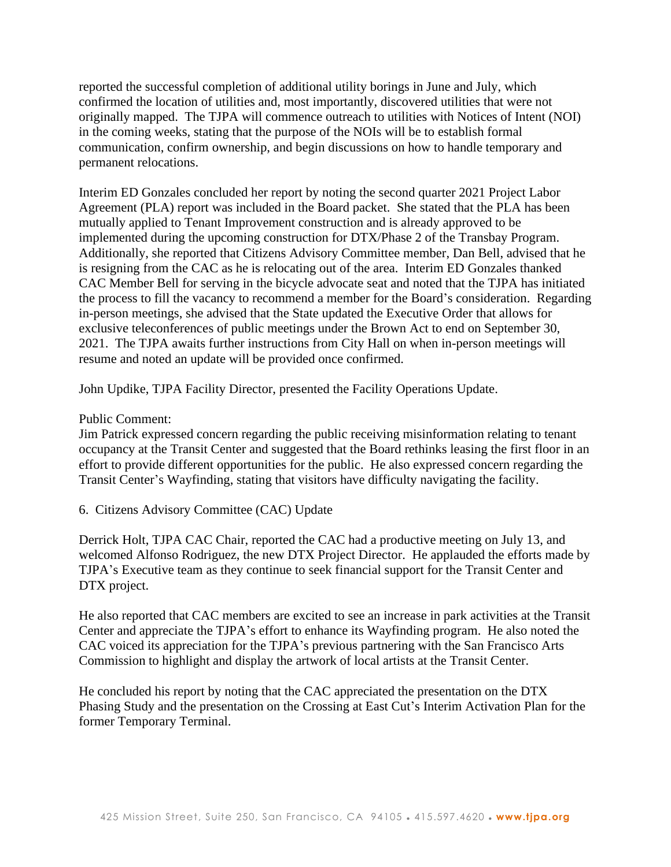reported the successful completion of additional utility borings in June and July, which confirmed the location of utilities and, most importantly, discovered utilities that were not originally mapped. The TJPA will commence outreach to utilities with Notices of Intent (NOI) in the coming weeks, stating that the purpose of the NOIs will be to establish formal communication, confirm ownership, and begin discussions on how to handle temporary and permanent relocations.

Interim ED Gonzales concluded her report by noting the second quarter 2021 Project Labor Agreement (PLA) report was included in the Board packet. She stated that the PLA has been mutually applied to Tenant Improvement construction and is already approved to be implemented during the upcoming construction for DTX/Phase 2 of the Transbay Program. Additionally, she reported that Citizens Advisory Committee member, Dan Bell, advised that he is resigning from the CAC as he is relocating out of the area. Interim ED Gonzales thanked CAC Member Bell for serving in the bicycle advocate seat and noted that the TJPA has initiated the process to fill the vacancy to recommend a member for the Board's consideration. Regarding in-person meetings, she advised that the State updated the Executive Order that allows for exclusive teleconferences of public meetings under the Brown Act to end on September 30, 2021. The TJPA awaits further instructions from City Hall on when in-person meetings will resume and noted an update will be provided once confirmed.

John Updike, TJPA Facility Director, presented the Facility Operations Update.

## Public Comment:

Jim Patrick expressed concern regarding the public receiving misinformation relating to tenant occupancy at the Transit Center and suggested that the Board rethinks leasing the first floor in an effort to provide different opportunities for the public. He also expressed concern regarding the Transit Center's Wayfinding, stating that visitors have difficulty navigating the facility.

6. Citizens Advisory Committee (CAC) Update

Derrick Holt, TJPA CAC Chair, reported the CAC had a productive meeting on July 13, and welcomed Alfonso Rodriguez, the new DTX Project Director. He applauded the efforts made by TJPA's Executive team as they continue to seek financial support for the Transit Center and DTX project.

He also reported that CAC members are excited to see an increase in park activities at the Transit Center and appreciate the TJPA's effort to enhance its Wayfinding program. He also noted the CAC voiced its appreciation for the TJPA's previous partnering with the San Francisco Arts Commission to highlight and display the artwork of local artists at the Transit Center.

He concluded his report by noting that the CAC appreciated the presentation on the DTX Phasing Study and the presentation on the Crossing at East Cut's Interim Activation Plan for the former Temporary Terminal.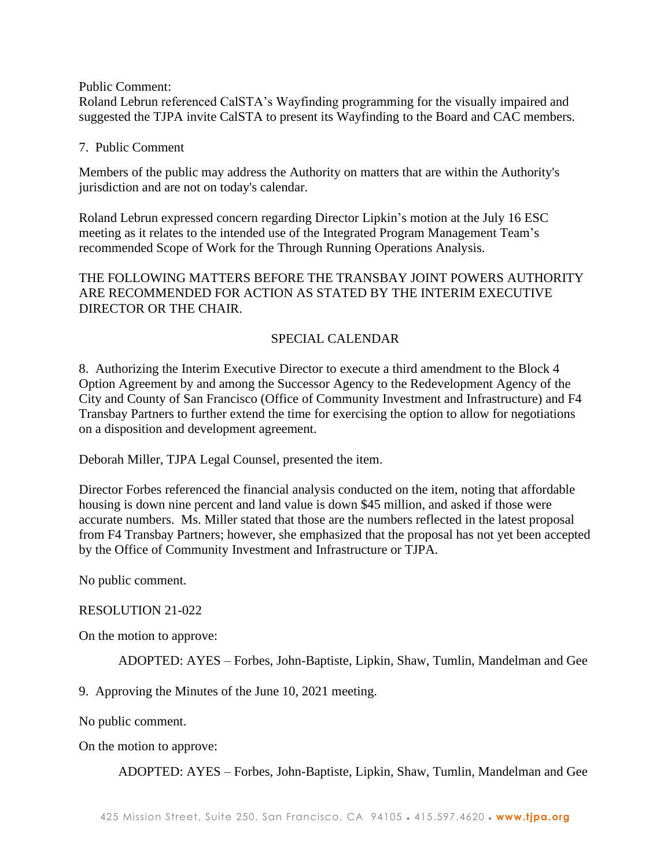Public Comment:

Roland Lebrun referenced CalSTA's Wayfinding programming for the visually impaired and suggested the TJPA invite CalSTA to present its Wayfinding to the Board and CAC members.

# 7. Public Comment

Members of the public may address the Authority on matters that are within the Authority's jurisdiction and are not on today's calendar.

Roland Lebrun expressed concern regarding Director Lipkin's motion at the July 16 ESC meeting as it relates to the intended use of the Integrated Program Management Team's recommended Scope of Work for the Through Running Operations Analysis.

THE FOLLOWING MATTERS BEFORE THE TRANSBAY JOINT POWERS AUTHORITY ARE RECOMMENDED FOR ACTION AS STATED BY THE INTERIM EXECUTIVE DIRECTOR OR THE CHAIR.

# SPECIAL CALENDAR

8. Authorizing the Interim Executive Director to execute a third amendment to the Block 4 Option Agreement by and among the Successor Agency to the Redevelopment Agency of the City and County of San Francisco (Office of Community Investment and Infrastructure) and F4 Transbay Partners to further extend the time for exercising the option to allow for negotiations on a disposition and development agreement.

Deborah Miller, TJPA Legal Counsel, presented the item.

Director Forbes referenced the financial analysis conducted on the item, noting that affordable housing is down nine percent and land value is down \$45 million, and asked if those were accurate numbers. Ms. Miller stated that those are the numbers reflected in the latest proposal from F4 Transbay Partners; however, she emphasized that the proposal has not yet been accepted by the Office of Community Investment and Infrastructure or TJPA.

No public comment.

## RESOLUTION 21-022

On the motion to approve:

ADOPTED: AYES – Forbes, John-Baptiste, Lipkin, Shaw, Tumlin, Mandelman and Gee

9. Approving the Minutes of the June 10, 2021 meeting.

No public comment.

On the motion to approve:

ADOPTED: AYES – Forbes, John-Baptiste, Lipkin, Shaw, Tumlin, Mandelman and Gee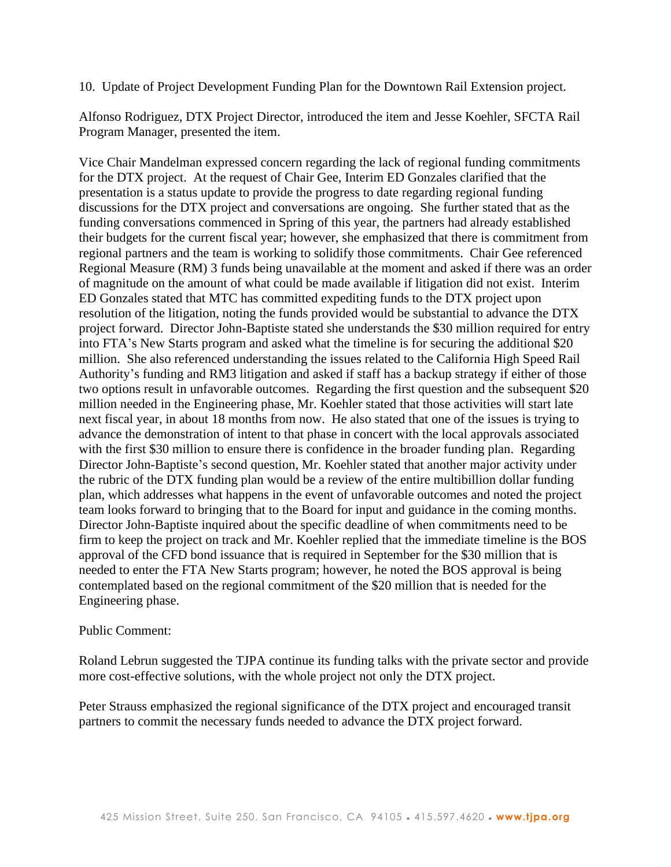### 10. Update of Project Development Funding Plan for the Downtown Rail Extension project.

Alfonso Rodriguez, DTX Project Director, introduced the item and Jesse Koehler, SFCTA Rail Program Manager, presented the item.

Vice Chair Mandelman expressed concern regarding the lack of regional funding commitments for the DTX project. At the request of Chair Gee, Interim ED Gonzales clarified that the presentation is a status update to provide the progress to date regarding regional funding discussions for the DTX project and conversations are ongoing. She further stated that as the funding conversations commenced in Spring of this year, the partners had already established their budgets for the current fiscal year; however, she emphasized that there is commitment from regional partners and the team is working to solidify those commitments. Chair Gee referenced Regional Measure (RM) 3 funds being unavailable at the moment and asked if there was an order of magnitude on the amount of what could be made available if litigation did not exist. Interim ED Gonzales stated that MTC has committed expediting funds to the DTX project upon resolution of the litigation, noting the funds provided would be substantial to advance the DTX project forward. Director John-Baptiste stated she understands the \$30 million required for entry into FTA's New Starts program and asked what the timeline is for securing the additional \$20 million. She also referenced understanding the issues related to the California High Speed Rail Authority's funding and RM3 litigation and asked if staff has a backup strategy if either of those two options result in unfavorable outcomes. Regarding the first question and the subsequent \$20 million needed in the Engineering phase, Mr. Koehler stated that those activities will start late next fiscal year, in about 18 months from now. He also stated that one of the issues is trying to advance the demonstration of intent to that phase in concert with the local approvals associated with the first \$30 million to ensure there is confidence in the broader funding plan. Regarding Director John-Baptiste's second question, Mr. Koehler stated that another major activity under the rubric of the DTX funding plan would be a review of the entire multibillion dollar funding plan, which addresses what happens in the event of unfavorable outcomes and noted the project team looks forward to bringing that to the Board for input and guidance in the coming months. Director John-Baptiste inquired about the specific deadline of when commitments need to be firm to keep the project on track and Mr. Koehler replied that the immediate timeline is the BOS approval of the CFD bond issuance that is required in September for the \$30 million that is needed to enter the FTA New Starts program; however, he noted the BOS approval is being contemplated based on the regional commitment of the \$20 million that is needed for the Engineering phase.

#### Public Comment:

Roland Lebrun suggested the TJPA continue its funding talks with the private sector and provide more cost-effective solutions, with the whole project not only the DTX project.

Peter Strauss emphasized the regional significance of the DTX project and encouraged transit partners to commit the necessary funds needed to advance the DTX project forward.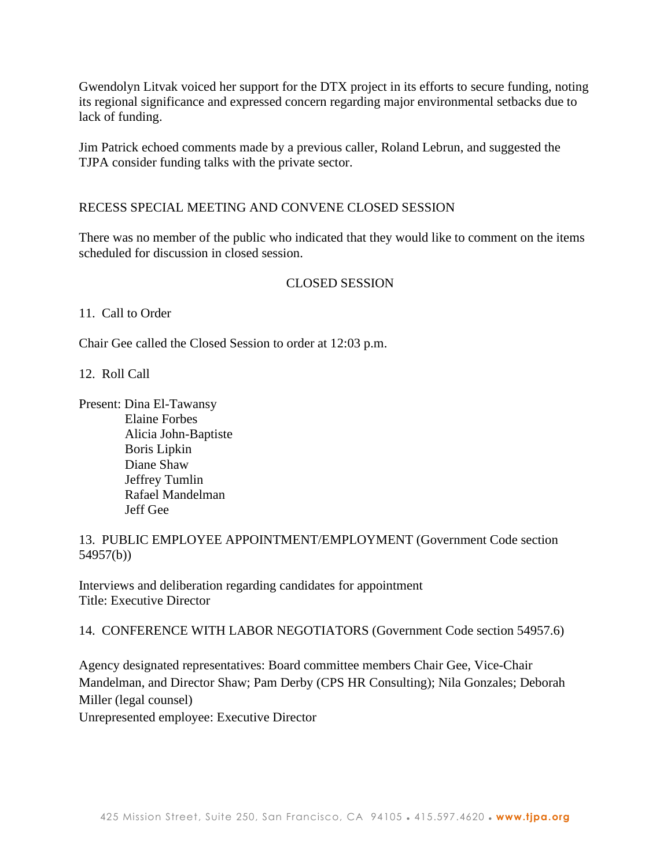Gwendolyn Litvak voiced her support for the DTX project in its efforts to secure funding, noting its regional significance and expressed concern regarding major environmental setbacks due to lack of funding.

Jim Patrick echoed comments made by a previous caller, Roland Lebrun, and suggested the TJPA consider funding talks with the private sector.

# RECESS SPECIAL MEETING AND CONVENE CLOSED SESSION

There was no member of the public who indicated that they would like to comment on the items scheduled for discussion in closed session.

## CLOSED SESSION

11. Call to Order

Chair Gee called the Closed Session to order at 12:03 p.m.

12. Roll Call

Present: Dina El-Tawansy Elaine Forbes Alicia John-Baptiste Boris Lipkin Diane Shaw Jeffrey Tumlin Rafael Mandelman Jeff Gee

13. PUBLIC EMPLOYEE APPOINTMENT/EMPLOYMENT (Government Code section 54957(b))

Interviews and deliberation regarding candidates for appointment Title: Executive Director

14. CONFERENCE WITH LABOR NEGOTIATORS (Government Code section 54957.6)

Agency designated representatives: Board committee members Chair Gee, Vice-Chair Mandelman, and Director Shaw; Pam Derby (CPS HR Consulting); Nila Gonzales; Deborah Miller (legal counsel)

Unrepresented employee: Executive Director